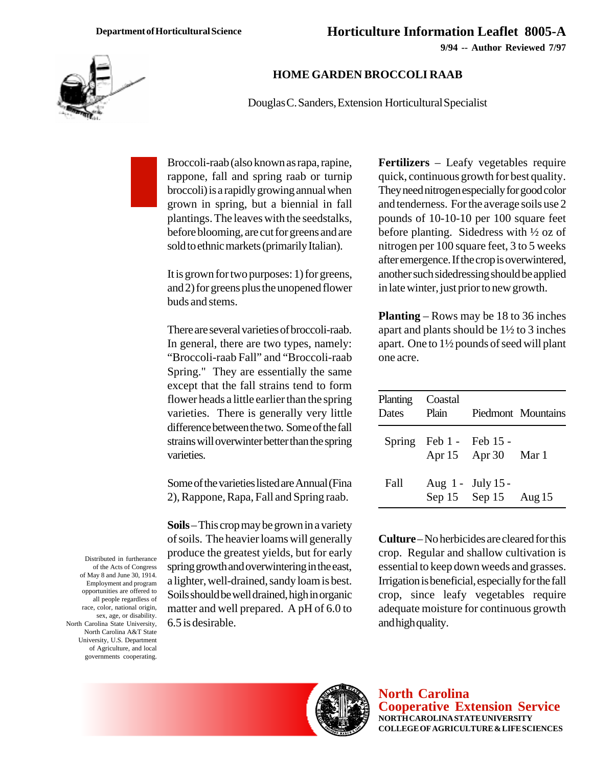**9/94 -- Author Reviewed 7/97**



## **HOME GARDEN BROCCOLI RAAB**

Douglas C. Sanders, Extension Horticultural Specialist

Broccoli-raab (also known as rapa, rapine, rappone, fall and spring raab or turnip broccoli) is a rapidly growing annual when grown in spring, but a biennial in fall plantings. The leaves with the seedstalks, before blooming, are cut for greens and are sold to ethnic markets (primarily Italian).

It is grown for two purposes: 1) for greens, and 2) for greens plus the unopened flower buds and stems.

There are several varieties of broccoli-raab. In general, there are two types, namely: "Broccoli-raab Fall" and "Broccoli-raab Spring." They are essentially the same except that the fall strains tend to form flower heads a little earlier than the spring varieties. There is generally very little difference between the two. Some of the fall strains will overwinter better than the spring varieties.

Some of the varieties listed are Annual (Fina 2), Rappone, Rapa, Fall and Spring raab.

**Soils** – This crop may be grown in a variety of soils. The heavier loams will generally produce the greatest yields, but for early spring growth and overwintering in the east, a lighter, well-drained, sandy loam is best. Soils should be well drained, high in organic matter and well prepared. A pH of 6.0 to 6.5 is desirable.

**Fertilizers** – Leafy vegetables require quick, continuous growth for best quality. They need nitrogen especially for good color and tenderness. For the average soils use 2 pounds of 10-10-10 per 100 square feet before planting. Sidedress with ½ oz of nitrogen per 100 square feet, 3 to 5 weeks after emergence. If the crop is overwintered, another such sidedressing should be applied in late winter, just prior to new growth.

**Planting** – Rows may be 18 to 36 inches apart and plants should be 1½ to 3 inches apart. One to 1½ pounds of seed will plant one acre.

| Planting<br>Dates | Coastal<br>Plain            |                                               | Piedmont Mountains |
|-------------------|-----------------------------|-----------------------------------------------|--------------------|
|                   | Spring Feb $1 -$ Feb $15 -$ | Apr 15 Apr 30 Mar 1                           |                    |
| <b>Fall</b>       |                             | Aug $1 -$ July $15 -$<br>Sep 15 Sep 15 Aug 15 |                    |

**Culture** – No herbicides are cleared for this crop. Regular and shallow cultivation is essential to keep down weeds and grasses. Irrigation is beneficial, especially for the fall crop, since leafy vegetables require adequate moisture for continuous growth and high quality.



**North Carolina Cooperative Extension Service NORTH CAROLINA STATE UNIVERSITY COLLEGE OF AGRICULTURE & LIFE SCIENCES**

Distributed in furtherance of the Acts of Congress of May 8 and June 30, 1914. Employment and program opportunities are offered to all people regardless of race, color, national origin, sex, age, or disability. North Carolina State University, North Carolina A&T State University, U.S. Department of Agriculture, and local governments cooperating.